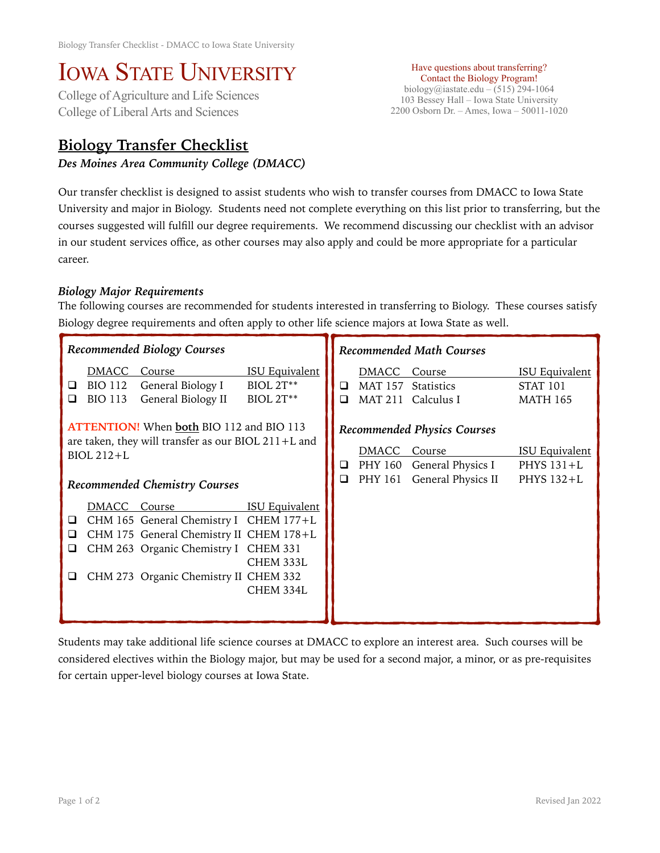## IOWA STATE UNIVERSITY<br>College of Agriculture and Life Sciences

College of Liberal Arts and Sciences

## **Biology Transfer Checklist**

*Des Moines Area Community College (DMACC)* 

Have questions about transferring? Contact the Biology Program! biology@iastate.edu – (515) 294-1064 103 Bessey Hall – Iowa State University 2200 Osborn Dr. – Ames, Iowa – 50011-1020

Our transfer checklist is designed to assist students who wish to transfer courses from DMACC to Iowa State University and major in Biology. Students need not complete everything on this list prior to transferring, but the courses suggested will fulfill our degree requirements. We recommend discussing our checklist with an advisor in our student services office, as other courses may also apply and could be more appropriate for a particular career.

## *Biology Major Requirements*

The following courses are recommended for students interested in transferring to Biology. These courses satisfy Biology degree requirements and often apply to other life science majors at Iowa State as well.

| Recommended Biology Courses                                                                                                                                                  |                                           |                                                                                                                                                                              |                                                               | <b>Recommended Math Courses</b> |                                                                                         |                                                     |                                                             |
|------------------------------------------------------------------------------------------------------------------------------------------------------------------------------|-------------------------------------------|------------------------------------------------------------------------------------------------------------------------------------------------------------------------------|---------------------------------------------------------------|---------------------------------|-----------------------------------------------------------------------------------------|-----------------------------------------------------|-------------------------------------------------------------|
| ⊔<br>◻                                                                                                                                                                       | DMACC<br><b>BIO 112</b><br><b>BIO 113</b> | Course<br>General Biology I<br>General Biology II                                                                                                                            | <b>ISU Equivalent</b><br><b>BIOL 2T**</b><br><b>BIOL 2T**</b> | ◻<br>❏                          | DMACC Course<br><b>MAT 157</b><br><b>MAT 211</b>                                        | <b>Statistics</b><br>Calculus I                     | <b>ISU Equivalent</b><br><b>STAT 101</b><br><b>MATH 165</b> |
| <b>ATTENTION!</b> When <b>both</b> BIO 112 and BIO 113<br>are taken, they will transfer as our BIOL $211+L$ and<br><b>BIOL 212+L</b><br><b>Recommended Chemistry Courses</b> |                                           |                                                                                                                                                                              | ⊔<br>$\Box$                                                   | DMACC<br>PHY 160<br>PHY 161     | <b>Recommended Physics Courses</b><br>Course<br>General Physics I<br>General Physics II | <b>ISU Equivalent</b><br>PHYS $131+L$<br>PHYS 132+L |                                                             |
| □<br>ப<br>⊔                                                                                                                                                                  | DMACC                                     | Course<br>CHM 165 General Chemistry I CHEM 177+L<br>CHM 175 General Chemistry II CHEM 178+L<br>CHM 263 Organic Chemistry I CHEM 331<br>CHM 273 Organic Chemistry II CHEM 332 | <b>ISU Equivalent</b><br>CHEM 333L<br>CHEM 334L               |                                 |                                                                                         |                                                     |                                                             |

Students may take additional life science courses at DMACC to explore an interest area. Such courses will be considered electives within the Biology major, but may be used for a second major, a minor, or as pre-requisites for certain upper-level biology courses at Iowa State.